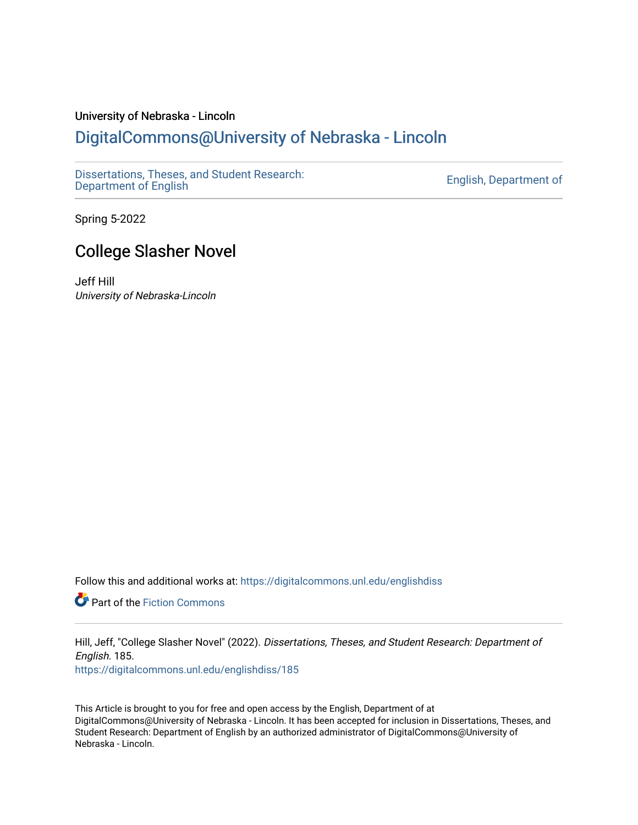# University of Nebraska - Lincoln [DigitalCommons@University of Nebraska - Lincoln](https://digitalcommons.unl.edu/)

[Dissertations, Theses, and Student Research:](https://digitalcommons.unl.edu/englishdiss) Dissertations, Theses, and Student Research.<br>[Department of English](https://digitalcommons.unl.edu/englishdiss) English

Spring 5-2022

# College Slasher Novel

Jeff Hill University of Nebraska-Lincoln

Follow this and additional works at: [https://digitalcommons.unl.edu/englishdiss](https://digitalcommons.unl.edu/englishdiss?utm_source=digitalcommons.unl.edu%2Fenglishdiss%2F185&utm_medium=PDF&utm_campaign=PDFCoverPages) 

**C** Part of the Fiction Commons

Hill, Jeff, "College Slasher Novel" (2022). Dissertations, Theses, and Student Research: Department of English. 185.

[https://digitalcommons.unl.edu/englishdiss/185](https://digitalcommons.unl.edu/englishdiss/185?utm_source=digitalcommons.unl.edu%2Fenglishdiss%2F185&utm_medium=PDF&utm_campaign=PDFCoverPages) 

This Article is brought to you for free and open access by the English, Department of at DigitalCommons@University of Nebraska - Lincoln. It has been accepted for inclusion in Dissertations, Theses, and Student Research: Department of English by an authorized administrator of DigitalCommons@University of Nebraska - Lincoln.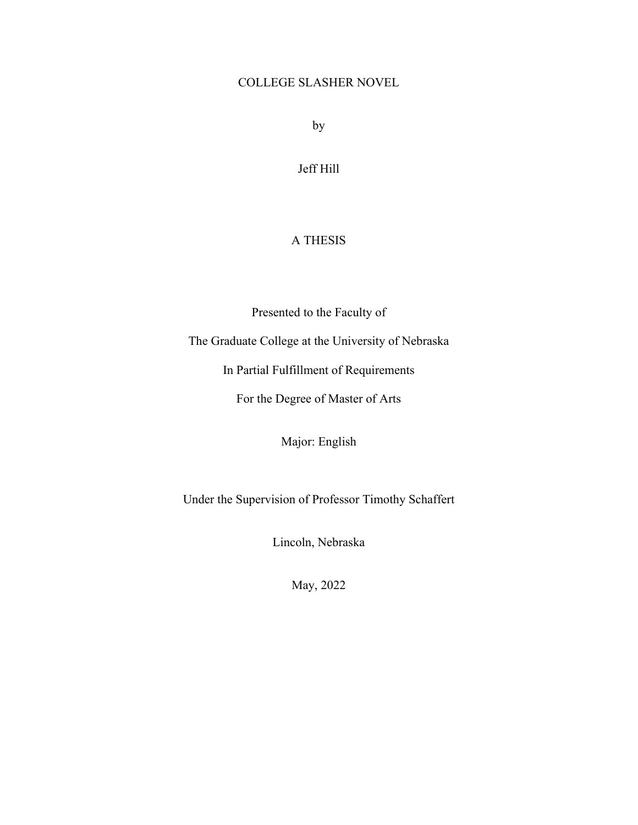## COLLEGE SLASHER NOVEL

by

## Jeff Hill

## A THESIS

Presented to the Faculty of

The Graduate College at the University of Nebraska

In Partial Fulfillment of Requirements

For the Degree of Master of Arts

Major: English

Under the Supervision of Professor Timothy Schaffert

Lincoln, Nebraska

May, 2022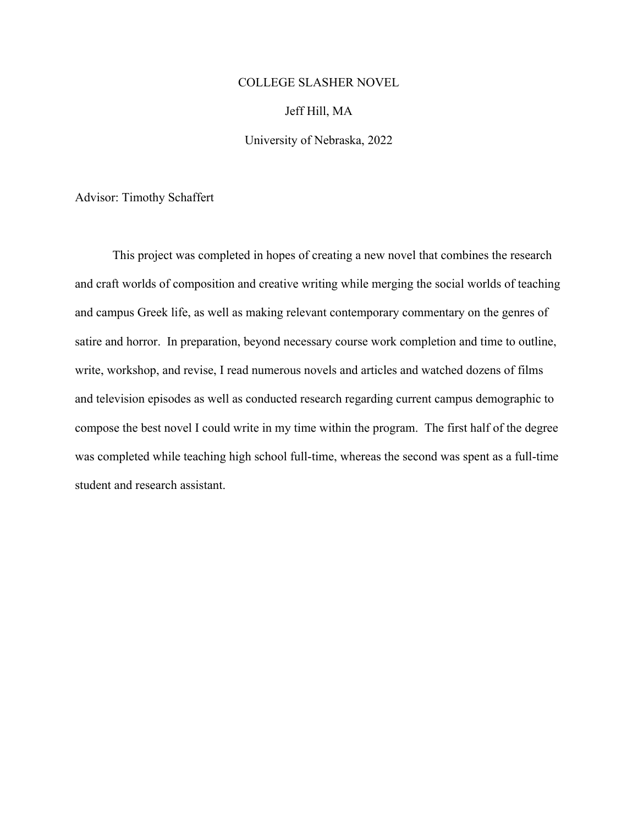### COLLEGE SLASHER NOVEL

## Jeff Hill, MA

University of Nebraska, 2022

Advisor: Timothy Schaffert

This project was completed in hopes of creating a new novel that combines the research and craft worlds of composition and creative writing while merging the social worlds of teaching and campus Greek life, as well as making relevant contemporary commentary on the genres of satire and horror. In preparation, beyond necessary course work completion and time to outline, write, workshop, and revise, I read numerous novels and articles and watched dozens of films and television episodes as well as conducted research regarding current campus demographic to compose the best novel I could write in my time within the program. The first half of the degree was completed while teaching high school full-time, whereas the second was spent as a full-time student and research assistant.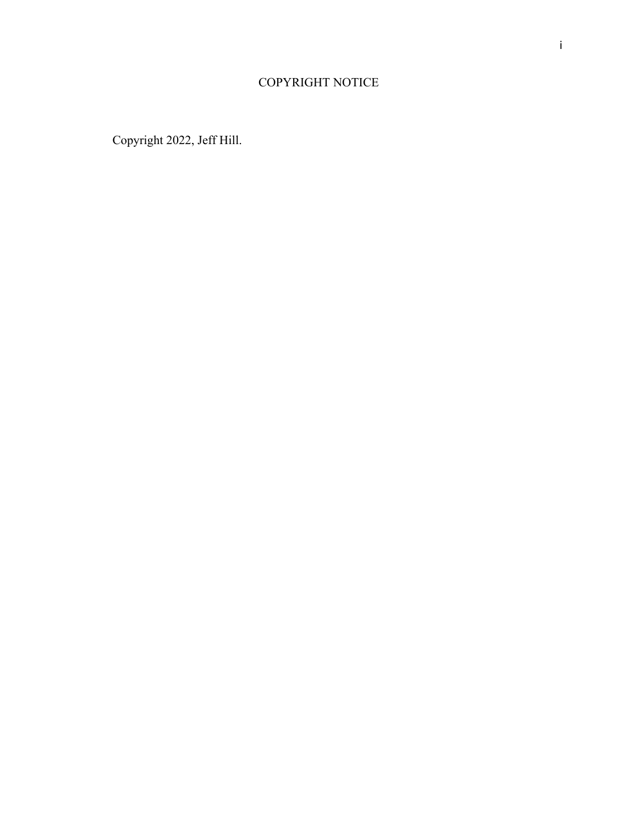Copyright 2022, Jeff Hill.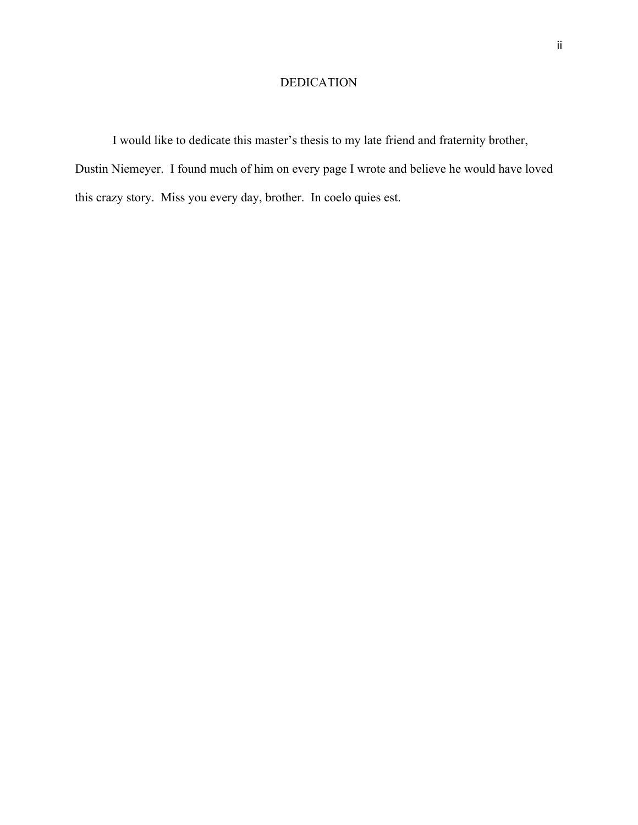## DEDICATION

I would like to dedicate this master's thesis to my late friend and fraternity brother, Dustin Niemeyer. I found much of him on every page I wrote and believe he would have loved this crazy story. Miss you every day, brother. In coelo quies est.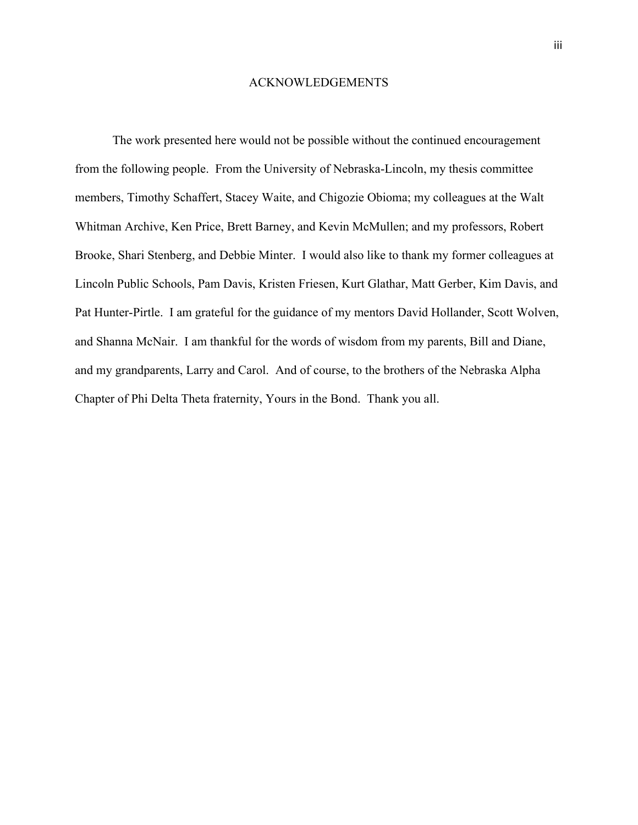#### ACKNOWLEDGEMENTS

The work presented here would not be possible without the continued encouragement from the following people. From the University of Nebraska-Lincoln, my thesis committee members, Timothy Schaffert, Stacey Waite, and Chigozie Obioma; my colleagues at the Walt Whitman Archive, Ken Price, Brett Barney, and Kevin McMullen; and my professors, Robert Brooke, Shari Stenberg, and Debbie Minter. I would also like to thank my former colleagues at Lincoln Public Schools, Pam Davis, Kristen Friesen, Kurt Glathar, Matt Gerber, Kim Davis, and Pat Hunter-Pirtle. I am grateful for the guidance of my mentors David Hollander, Scott Wolven, and Shanna McNair. I am thankful for the words of wisdom from my parents, Bill and Diane, and my grandparents, Larry and Carol. And of course, to the brothers of the Nebraska Alpha Chapter of Phi Delta Theta fraternity, Yours in the Bond. Thank you all.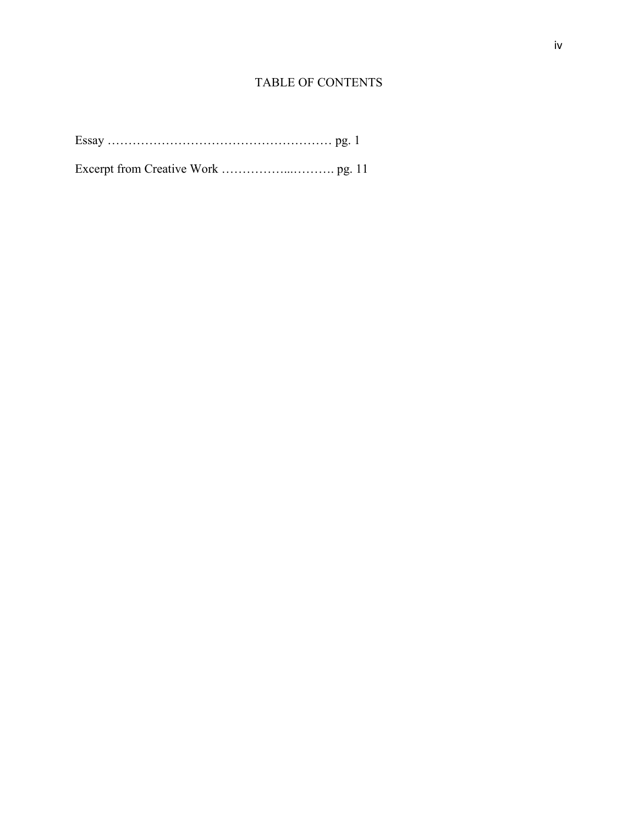## TABLE OF CONTENTS

Essay ……………………………………………… pg. 1

Excerpt from Creative Work ……………...………. pg. 11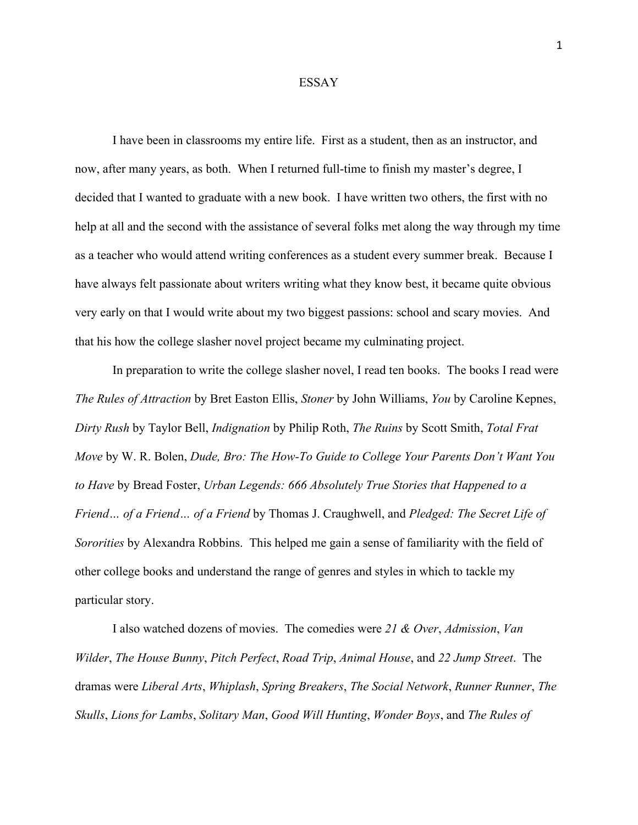#### ESSAY

I have been in classrooms my entire life. First as a student, then as an instructor, and now, after many years, as both. When I returned full-time to finish my master's degree, I decided that I wanted to graduate with a new book. I have written two others, the first with no help at all and the second with the assistance of several folks met along the way through my time as a teacher who would attend writing conferences as a student every summer break. Because I have always felt passionate about writers writing what they know best, it became quite obvious very early on that I would write about my two biggest passions: school and scary movies. And that his how the college slasher novel project became my culminating project.

In preparation to write the college slasher novel, I read ten books. The books I read were *The Rules of Attraction* by Bret Easton Ellis, *Stoner* by John Williams, *You* by Caroline Kepnes, *Dirty Rush* by Taylor Bell, *Indignation* by Philip Roth, *The Ruins* by Scott Smith, *Total Frat Move* by W. R. Bolen, *Dude, Bro: The How-To Guide to College Your Parents Don't Want You to Have* by Bread Foster, *Urban Legends: 666 Absolutely True Stories that Happened to a Friend… of a Friend… of a Friend* by Thomas J. Craughwell, and *Pledged: The Secret Life of Sororities* by Alexandra Robbins. This helped me gain a sense of familiarity with the field of other college books and understand the range of genres and styles in which to tackle my particular story.

I also watched dozens of movies. The comedies were *21 & Over*, *Admission*, *Van Wilder*, *The House Bunny*, *Pitch Perfect*, *Road Trip*, *Animal House*, and *22 Jump Street*. The dramas were *Liberal Arts*, *Whiplash*, *Spring Breakers*, *The Social Network*, *Runner Runner*, *The Skulls*, *Lions for Lambs*, *Solitary Man*, *Good Will Hunting*, *Wonder Boys*, and *The Rules of*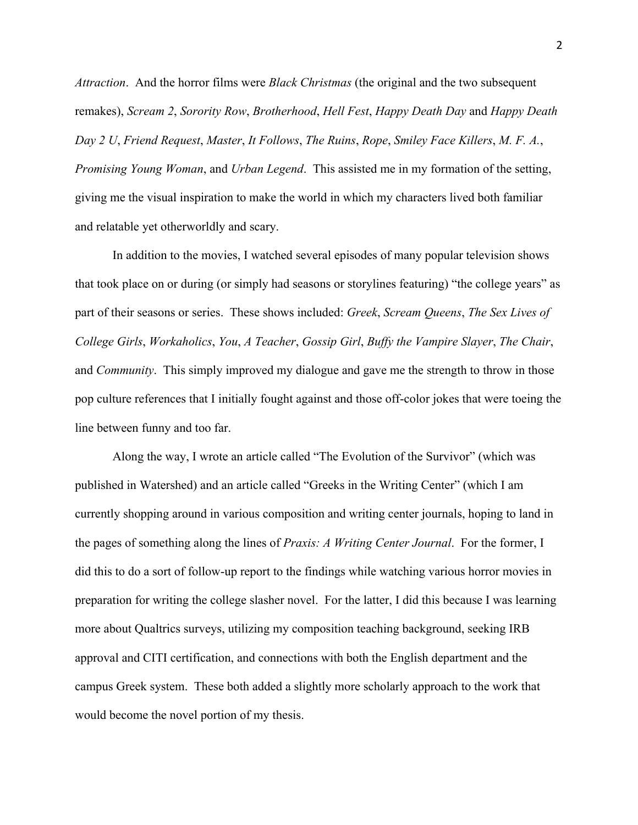*Attraction*. And the horror films were *Black Christmas* (the original and the two subsequent remakes), *Scream 2*, *Sorority Row*, *Brotherhood*, *Hell Fest*, *Happy Death Day* and *Happy Death Day 2 U*, *Friend Request*, *Master*, *It Follows*, *The Ruins*, *Rope*, *Smiley Face Killers*, *M. F. A.*, *Promising Young Woman*, and *Urban Legend*. This assisted me in my formation of the setting, giving me the visual inspiration to make the world in which my characters lived both familiar and relatable yet otherworldly and scary.

In addition to the movies, I watched several episodes of many popular television shows that took place on or during (or simply had seasons or storylines featuring) "the college years" as part of their seasons or series. These shows included: *Greek*, *Scream Queens*, *The Sex Lives of College Girls*, *Workaholics*, *You*, *A Teacher*, *Gossip Girl*, *Buffy the Vampire Slayer*, *The Chair*, and *Community*. This simply improved my dialogue and gave me the strength to throw in those pop culture references that I initially fought against and those off-color jokes that were toeing the line between funny and too far.

Along the way, I wrote an article called "The Evolution of the Survivor" (which was published in Watershed) and an article called "Greeks in the Writing Center" (which I am currently shopping around in various composition and writing center journals, hoping to land in the pages of something along the lines of *Praxis: A Writing Center Journal*. For the former, I did this to do a sort of follow-up report to the findings while watching various horror movies in preparation for writing the college slasher novel. For the latter, I did this because I was learning more about Qualtrics surveys, utilizing my composition teaching background, seeking IRB approval and CITI certification, and connections with both the English department and the campus Greek system. These both added a slightly more scholarly approach to the work that would become the novel portion of my thesis.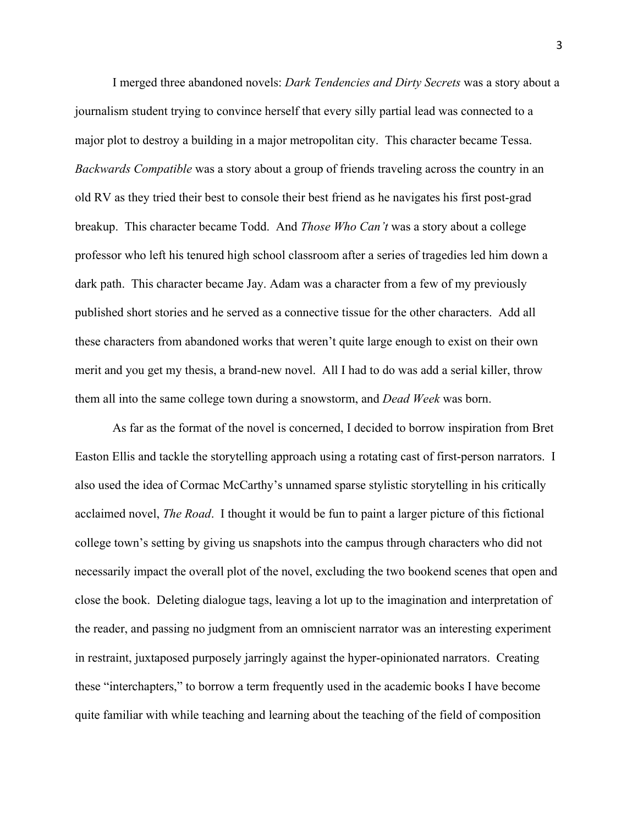I merged three abandoned novels: *Dark Tendencies and Dirty Secrets* was a story about a journalism student trying to convince herself that every silly partial lead was connected to a major plot to destroy a building in a major metropolitan city. This character became Tessa. *Backwards Compatible* was a story about a group of friends traveling across the country in an old RV as they tried their best to console their best friend as he navigates his first post-grad breakup. This character became Todd. And *Those Who Can't* was a story about a college professor who left his tenured high school classroom after a series of tragedies led him down a dark path. This character became Jay. Adam was a character from a few of my previously published short stories and he served as a connective tissue for the other characters. Add all these characters from abandoned works that weren't quite large enough to exist on their own merit and you get my thesis, a brand-new novel. All I had to do was add a serial killer, throw them all into the same college town during a snowstorm, and *Dead Week* was born.

As far as the format of the novel is concerned, I decided to borrow inspiration from Bret Easton Ellis and tackle the storytelling approach using a rotating cast of first-person narrators. I also used the idea of Cormac McCarthy's unnamed sparse stylistic storytelling in his critically acclaimed novel, *The Road*. I thought it would be fun to paint a larger picture of this fictional college town's setting by giving us snapshots into the campus through characters who did not necessarily impact the overall plot of the novel, excluding the two bookend scenes that open and close the book. Deleting dialogue tags, leaving a lot up to the imagination and interpretation of the reader, and passing no judgment from an omniscient narrator was an interesting experiment in restraint, juxtaposed purposely jarringly against the hyper-opinionated narrators. Creating these "interchapters," to borrow a term frequently used in the academic books I have become quite familiar with while teaching and learning about the teaching of the field of composition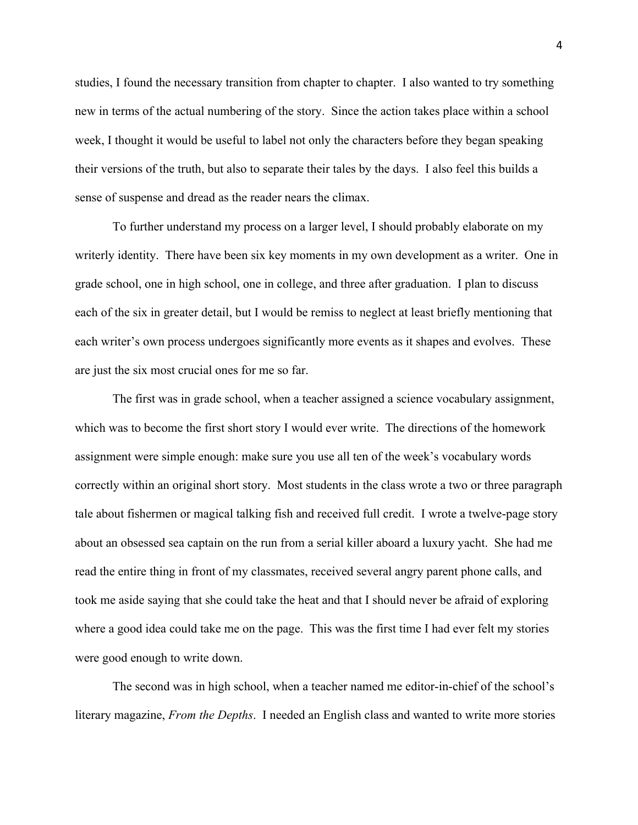studies, I found the necessary transition from chapter to chapter. I also wanted to try something new in terms of the actual numbering of the story. Since the action takes place within a school week, I thought it would be useful to label not only the characters before they began speaking their versions of the truth, but also to separate their tales by the days. I also feel this builds a sense of suspense and dread as the reader nears the climax.

To further understand my process on a larger level, I should probably elaborate on my writerly identity. There have been six key moments in my own development as a writer. One in grade school, one in high school, one in college, and three after graduation. I plan to discuss each of the six in greater detail, but I would be remiss to neglect at least briefly mentioning that each writer's own process undergoes significantly more events as it shapes and evolves. These are just the six most crucial ones for me so far.

The first was in grade school, when a teacher assigned a science vocabulary assignment, which was to become the first short story I would ever write. The directions of the homework assignment were simple enough: make sure you use all ten of the week's vocabulary words correctly within an original short story. Most students in the class wrote a two or three paragraph tale about fishermen or magical talking fish and received full credit. I wrote a twelve-page story about an obsessed sea captain on the run from a serial killer aboard a luxury yacht. She had me read the entire thing in front of my classmates, received several angry parent phone calls, and took me aside saying that she could take the heat and that I should never be afraid of exploring where a good idea could take me on the page. This was the first time I had ever felt my stories were good enough to write down.

The second was in high school, when a teacher named me editor-in-chief of the school's literary magazine, *From the Depths*. I needed an English class and wanted to write more stories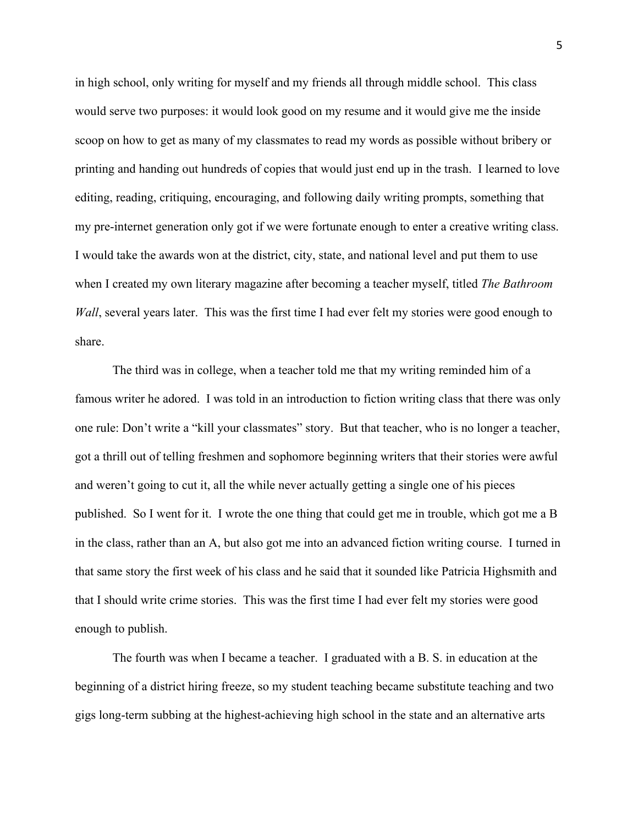in high school, only writing for myself and my friends all through middle school. This class would serve two purposes: it would look good on my resume and it would give me the inside scoop on how to get as many of my classmates to read my words as possible without bribery or printing and handing out hundreds of copies that would just end up in the trash. I learned to love editing, reading, critiquing, encouraging, and following daily writing prompts, something that my pre-internet generation only got if we were fortunate enough to enter a creative writing class. I would take the awards won at the district, city, state, and national level and put them to use when I created my own literary magazine after becoming a teacher myself, titled *The Bathroom Wall*, several years later. This was the first time I had ever felt my stories were good enough to share.

The third was in college, when a teacher told me that my writing reminded him of a famous writer he adored. I was told in an introduction to fiction writing class that there was only one rule: Don't write a "kill your classmates" story. But that teacher, who is no longer a teacher, got a thrill out of telling freshmen and sophomore beginning writers that their stories were awful and weren't going to cut it, all the while never actually getting a single one of his pieces published. So I went for it. I wrote the one thing that could get me in trouble, which got me a B in the class, rather than an A, but also got me into an advanced fiction writing course. I turned in that same story the first week of his class and he said that it sounded like Patricia Highsmith and that I should write crime stories. This was the first time I had ever felt my stories were good enough to publish.

The fourth was when I became a teacher. I graduated with a B. S. in education at the beginning of a district hiring freeze, so my student teaching became substitute teaching and two gigs long-term subbing at the highest-achieving high school in the state and an alternative arts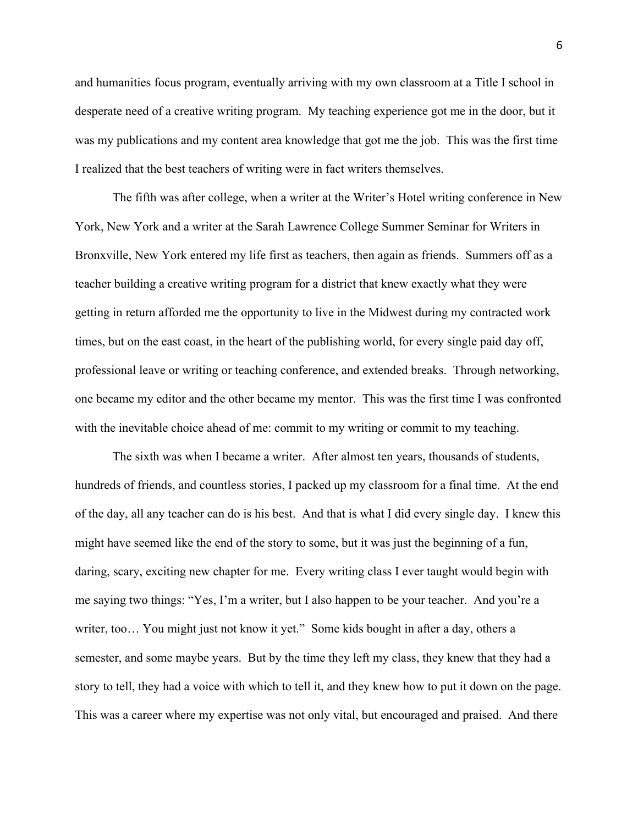and humanities focus program, eventually arriving with my own classroom at a Title I school in desperate need of a creative writing program. My teaching experience got me in the door, but it was my publications and my content area knowledge that got me the job. This was the first time I realized that the best teachers of writing were in fact writers themselves.

The fifth was after college, when a writer at the Writer's Hotel writing conference in New York, New York and a writer at the Sarah Lawrence College Summer Seminar for Writers in Bronxville, New York entered my life first as teachers, then again as friends. Summers off as a teacher building a creative writing program for a district that knew exactly what they were getting in return afforded me the opportunity to live in the Midwest during my contracted work times, but on the east coast, in the heart of the publishing world, for every single paid day off, professional leave or writing or teaching conference, and extended breaks. Through networking, one became my editor and the other became my mentor. This was the first time I was confronted with the inevitable choice ahead of me: commit to my writing or commit to my teaching.

The sixth was when I became a writer. After almost ten years, thousands of students, hundreds of friends, and countless stories, I packed up my classroom for a final time. At the end of the day, all any teacher can do is his best. And that is what I did every single day. I knew this might have seemed like the end of the story to some, but it was just the beginning of a fun, daring, scary, exciting new chapter for me. Every writing class I ever taught would begin with me saying two things: "Yes, I'm a writer, but I also happen to be your teacher. And you're a writer, too… You might just not know it yet." Some kids bought in after a day, others a semester, and some maybe years. But by the time they left my class, they knew that they had a story to tell, they had a voice with which to tell it, and they knew how to put it down on the page. This was a career where my expertise was not only vital, but encouraged and praised. And there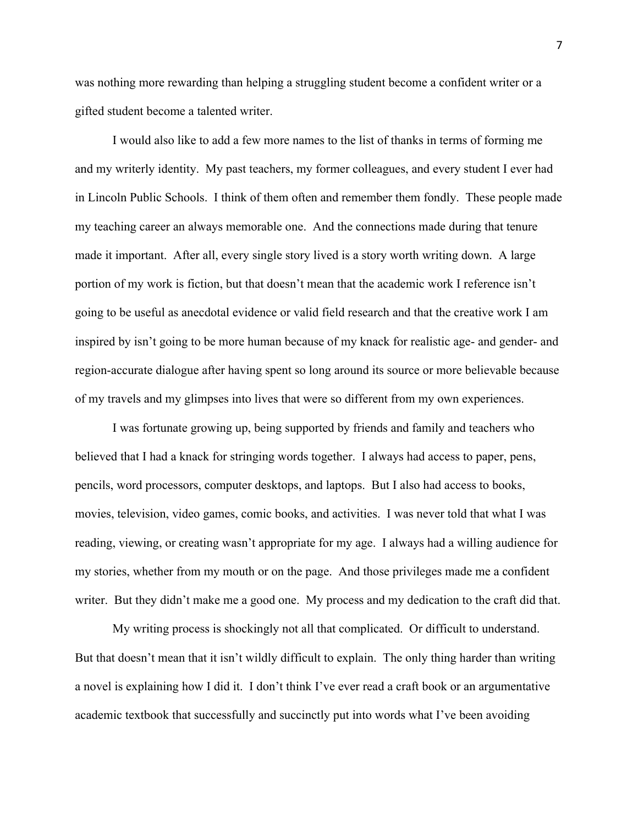was nothing more rewarding than helping a struggling student become a confident writer or a gifted student become a talented writer.

I would also like to add a few more names to the list of thanks in terms of forming me and my writerly identity. My past teachers, my former colleagues, and every student I ever had in Lincoln Public Schools. I think of them often and remember them fondly. These people made my teaching career an always memorable one. And the connections made during that tenure made it important. After all, every single story lived is a story worth writing down. A large portion of my work is fiction, but that doesn't mean that the academic work I reference isn't going to be useful as anecdotal evidence or valid field research and that the creative work I am inspired by isn't going to be more human because of my knack for realistic age- and gender- and region-accurate dialogue after having spent so long around its source or more believable because of my travels and my glimpses into lives that were so different from my own experiences.

I was fortunate growing up, being supported by friends and family and teachers who believed that I had a knack for stringing words together. I always had access to paper, pens, pencils, word processors, computer desktops, and laptops. But I also had access to books, movies, television, video games, comic books, and activities. I was never told that what I was reading, viewing, or creating wasn't appropriate for my age. I always had a willing audience for my stories, whether from my mouth or on the page. And those privileges made me a confident writer. But they didn't make me a good one. My process and my dedication to the craft did that.

My writing process is shockingly not all that complicated. Or difficult to understand. But that doesn't mean that it isn't wildly difficult to explain. The only thing harder than writing a novel is explaining how I did it. I don't think I've ever read a craft book or an argumentative academic textbook that successfully and succinctly put into words what I've been avoiding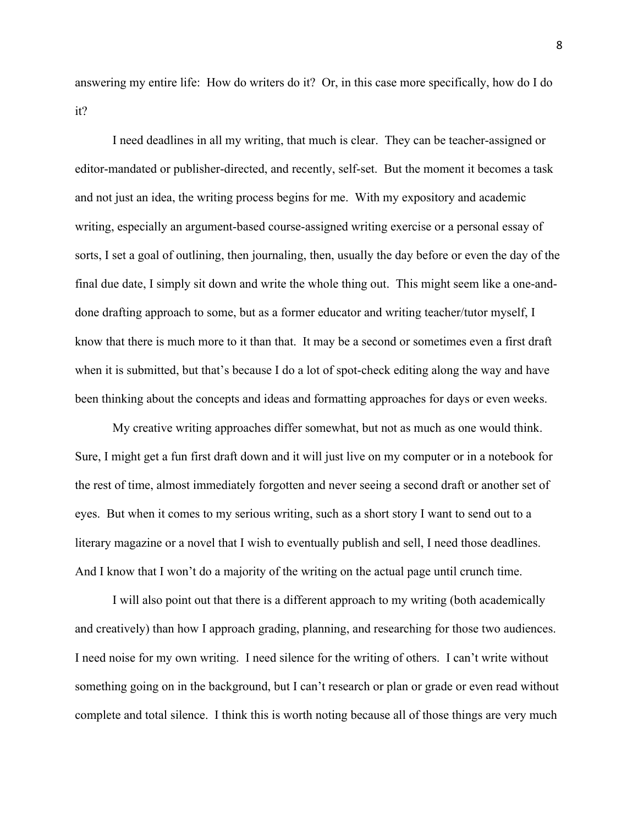answering my entire life: How do writers do it? Or, in this case more specifically, how do I do it?

I need deadlines in all my writing, that much is clear. They can be teacher-assigned or editor-mandated or publisher-directed, and recently, self-set. But the moment it becomes a task and not just an idea, the writing process begins for me. With my expository and academic writing, especially an argument-based course-assigned writing exercise or a personal essay of sorts, I set a goal of outlining, then journaling, then, usually the day before or even the day of the final due date, I simply sit down and write the whole thing out. This might seem like a one-anddone drafting approach to some, but as a former educator and writing teacher/tutor myself, I know that there is much more to it than that. It may be a second or sometimes even a first draft when it is submitted, but that's because I do a lot of spot-check editing along the way and have been thinking about the concepts and ideas and formatting approaches for days or even weeks.

My creative writing approaches differ somewhat, but not as much as one would think. Sure, I might get a fun first draft down and it will just live on my computer or in a notebook for the rest of time, almost immediately forgotten and never seeing a second draft or another set of eyes. But when it comes to my serious writing, such as a short story I want to send out to a literary magazine or a novel that I wish to eventually publish and sell, I need those deadlines. And I know that I won't do a majority of the writing on the actual page until crunch time.

I will also point out that there is a different approach to my writing (both academically and creatively) than how I approach grading, planning, and researching for those two audiences. I need noise for my own writing. I need silence for the writing of others. I can't write without something going on in the background, but I can't research or plan or grade or even read without complete and total silence. I think this is worth noting because all of those things are very much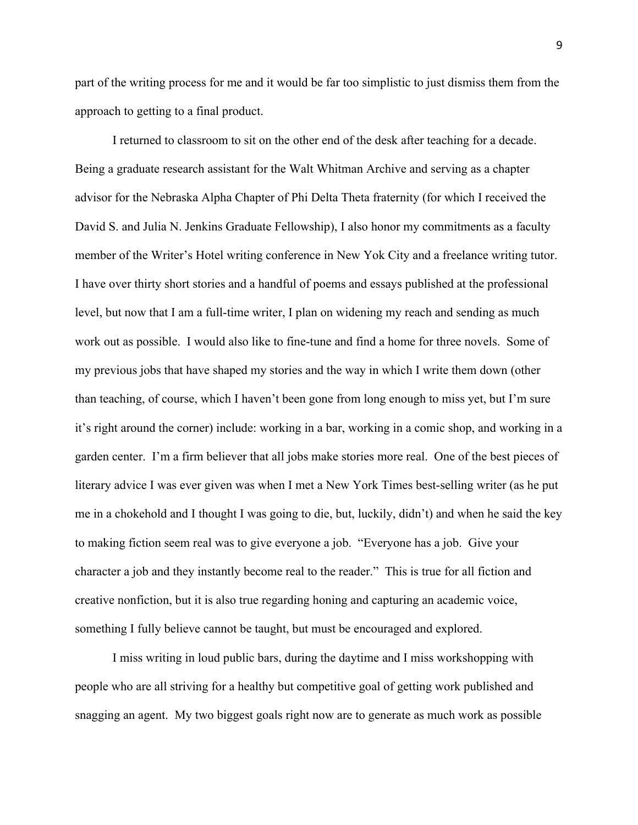part of the writing process for me and it would be far too simplistic to just dismiss them from the approach to getting to a final product.

I returned to classroom to sit on the other end of the desk after teaching for a decade. Being a graduate research assistant for the Walt Whitman Archive and serving as a chapter advisor for the Nebraska Alpha Chapter of Phi Delta Theta fraternity (for which I received the David S. and Julia N. Jenkins Graduate Fellowship), I also honor my commitments as a faculty member of the Writer's Hotel writing conference in New Yok City and a freelance writing tutor. I have over thirty short stories and a handful of poems and essays published at the professional level, but now that I am a full-time writer, I plan on widening my reach and sending as much work out as possible. I would also like to fine-tune and find a home for three novels. Some of my previous jobs that have shaped my stories and the way in which I write them down (other than teaching, of course, which I haven't been gone from long enough to miss yet, but I'm sure it's right around the corner) include: working in a bar, working in a comic shop, and working in a garden center. I'm a firm believer that all jobs make stories more real. One of the best pieces of literary advice I was ever given was when I met a New York Times best-selling writer (as he put me in a chokehold and I thought I was going to die, but, luckily, didn't) and when he said the key to making fiction seem real was to give everyone a job. "Everyone has a job. Give your character a job and they instantly become real to the reader." This is true for all fiction and creative nonfiction, but it is also true regarding honing and capturing an academic voice, something I fully believe cannot be taught, but must be encouraged and explored.

I miss writing in loud public bars, during the daytime and I miss workshopping with people who are all striving for a healthy but competitive goal of getting work published and snagging an agent. My two biggest goals right now are to generate as much work as possible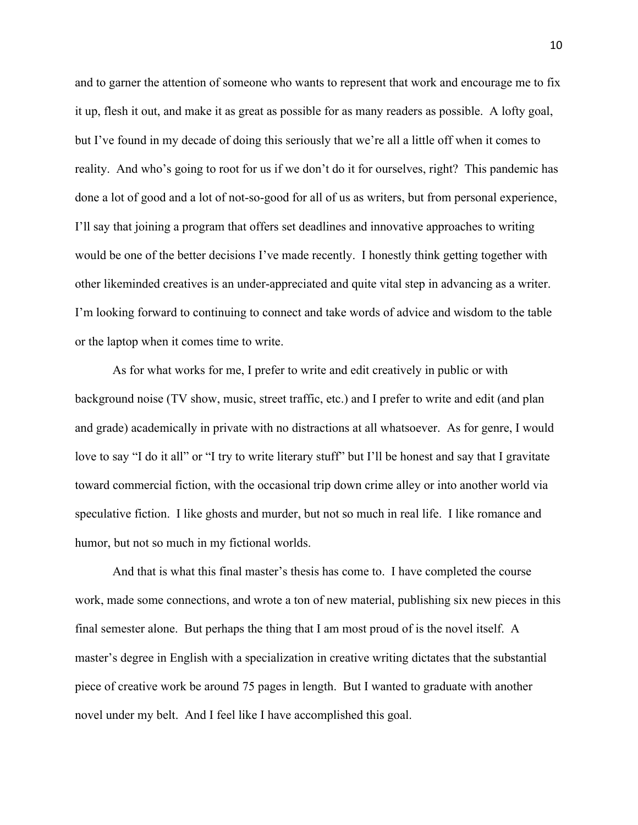and to garner the attention of someone who wants to represent that work and encourage me to fix it up, flesh it out, and make it as great as possible for as many readers as possible. A lofty goal, but I've found in my decade of doing this seriously that we're all a little off when it comes to reality. And who's going to root for us if we don't do it for ourselves, right? This pandemic has done a lot of good and a lot of not-so-good for all of us as writers, but from personal experience, I'll say that joining a program that offers set deadlines and innovative approaches to writing would be one of the better decisions I've made recently. I honestly think getting together with other likeminded creatives is an under-appreciated and quite vital step in advancing as a writer. I'm looking forward to continuing to connect and take words of advice and wisdom to the table or the laptop when it comes time to write.

As for what works for me, I prefer to write and edit creatively in public or with background noise (TV show, music, street traffic, etc.) and I prefer to write and edit (and plan and grade) academically in private with no distractions at all whatsoever. As for genre, I would love to say "I do it all" or "I try to write literary stuff" but I'll be honest and say that I gravitate toward commercial fiction, with the occasional trip down crime alley or into another world via speculative fiction. I like ghosts and murder, but not so much in real life. I like romance and humor, but not so much in my fictional worlds.

And that is what this final master's thesis has come to. I have completed the course work, made some connections, and wrote a ton of new material, publishing six new pieces in this final semester alone. But perhaps the thing that I am most proud of is the novel itself. A master's degree in English with a specialization in creative writing dictates that the substantial piece of creative work be around 75 pages in length. But I wanted to graduate with another novel under my belt. And I feel like I have accomplished this goal.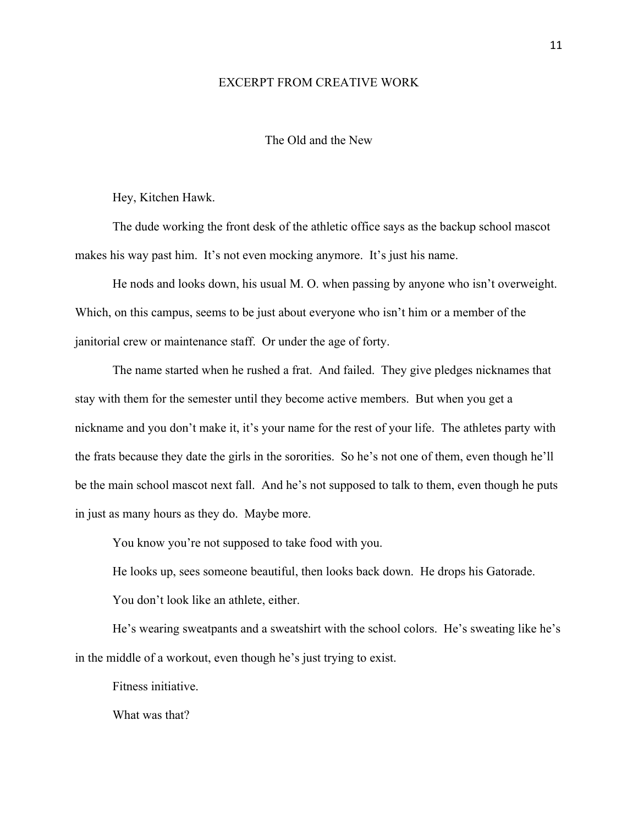### EXCERPT FROM CREATIVE WORK

### The Old and the New

Hey, Kitchen Hawk.

The dude working the front desk of the athletic office says as the backup school mascot makes his way past him. It's not even mocking anymore. It's just his name.

He nods and looks down, his usual M. O. when passing by anyone who isn't overweight. Which, on this campus, seems to be just about everyone who isn't him or a member of the janitorial crew or maintenance staff. Or under the age of forty.

The name started when he rushed a frat. And failed. They give pledges nicknames that stay with them for the semester until they become active members. But when you get a nickname and you don't make it, it's your name for the rest of your life. The athletes party with the frats because they date the girls in the sororities. So he's not one of them, even though he'll be the main school mascot next fall. And he's not supposed to talk to them, even though he puts in just as many hours as they do. Maybe more.

You know you're not supposed to take food with you.

He looks up, sees someone beautiful, then looks back down. He drops his Gatorade.

You don't look like an athlete, either.

He's wearing sweatpants and a sweatshirt with the school colors. He's sweating like he's in the middle of a workout, even though he's just trying to exist.

Fitness initiative.

What was that?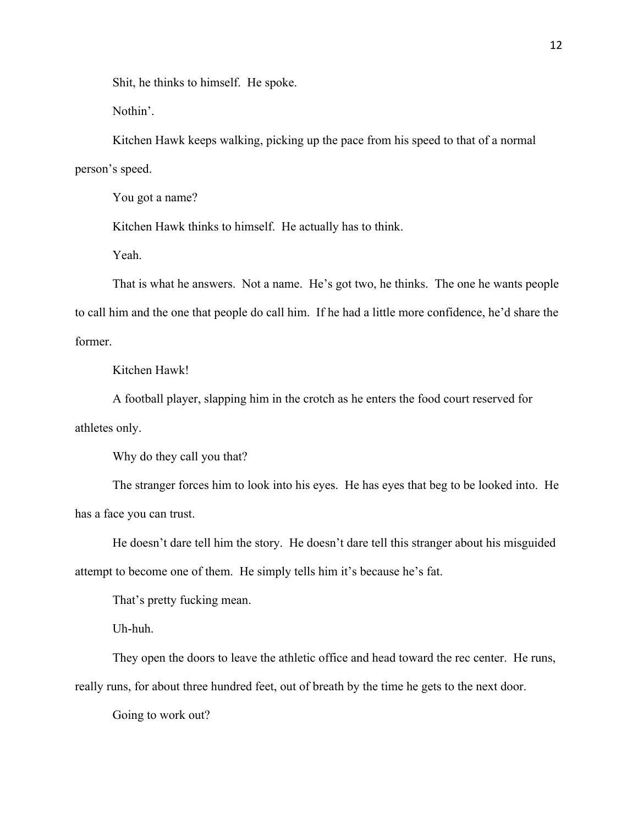Shit, he thinks to himself. He spoke.

Nothin'.

Kitchen Hawk keeps walking, picking up the pace from his speed to that of a normal person's speed.

You got a name?

Kitchen Hawk thinks to himself. He actually has to think.

Yeah.

That is what he answers. Not a name. He's got two, he thinks. The one he wants people to call him and the one that people do call him. If he had a little more confidence, he'd share the former.

Kitchen Hawk!

A football player, slapping him in the crotch as he enters the food court reserved for athletes only.

Why do they call you that?

The stranger forces him to look into his eyes. He has eyes that beg to be looked into. He has a face you can trust.

He doesn't dare tell him the story. He doesn't dare tell this stranger about his misguided attempt to become one of them. He simply tells him it's because he's fat.

That's pretty fucking mean.

Uh-huh.

They open the doors to leave the athletic office and head toward the rec center. He runs, really runs, for about three hundred feet, out of breath by the time he gets to the next door.

Going to work out?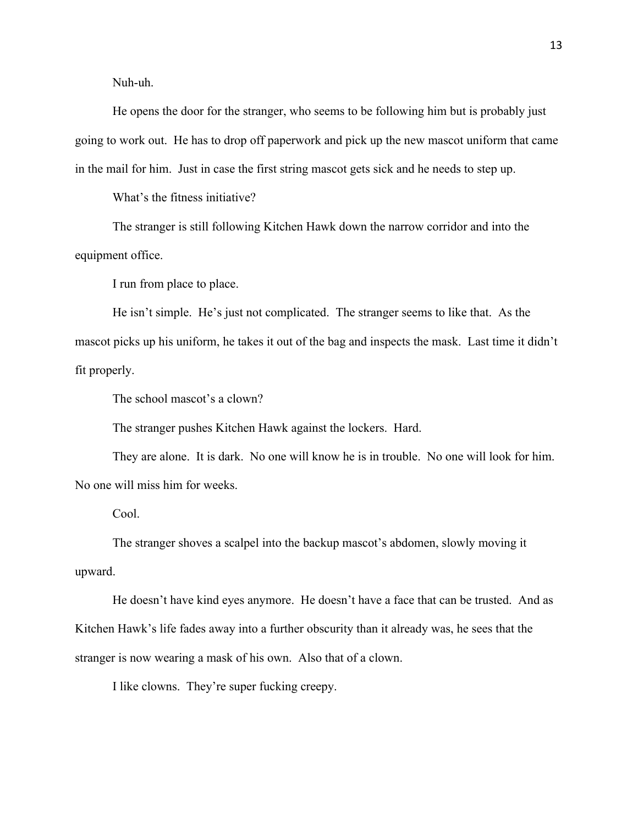Nuh-uh.

He opens the door for the stranger, who seems to be following him but is probably just going to work out. He has to drop off paperwork and pick up the new mascot uniform that came in the mail for him. Just in case the first string mascot gets sick and he needs to step up.

What's the fitness initiative?

The stranger is still following Kitchen Hawk down the narrow corridor and into the equipment office.

I run from place to place.

He isn't simple. He's just not complicated. The stranger seems to like that. As the mascot picks up his uniform, he takes it out of the bag and inspects the mask. Last time it didn't fit properly.

The school mascot's a clown?

The stranger pushes Kitchen Hawk against the lockers. Hard.

They are alone. It is dark. No one will know he is in trouble. No one will look for him. No one will miss him for weeks.

Cool.

The stranger shoves a scalpel into the backup mascot's abdomen, slowly moving it upward.

He doesn't have kind eyes anymore. He doesn't have a face that can be trusted. And as Kitchen Hawk's life fades away into a further obscurity than it already was, he sees that the stranger is now wearing a mask of his own. Also that of a clown.

I like clowns. They're super fucking creepy.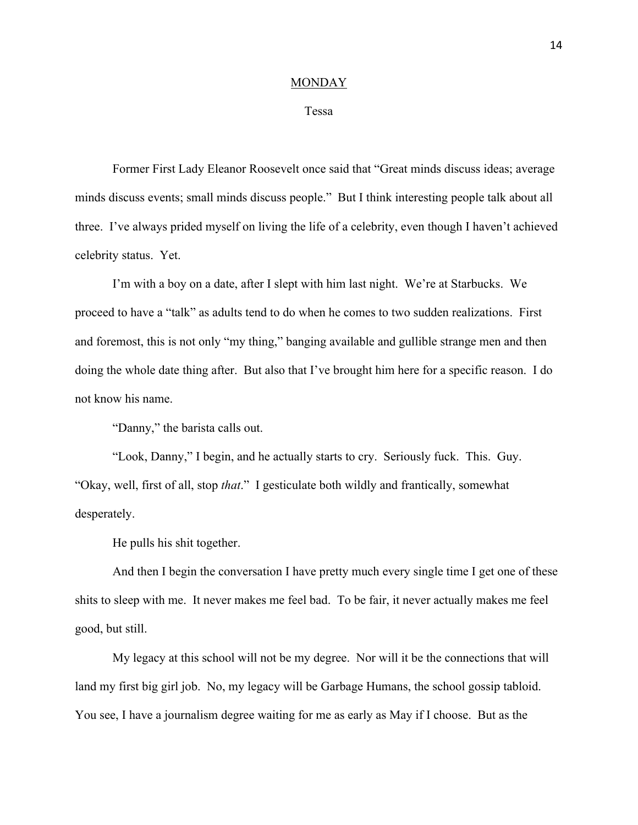#### MONDAY

#### Tessa

Former First Lady Eleanor Roosevelt once said that "Great minds discuss ideas; average minds discuss events; small minds discuss people." But I think interesting people talk about all three. I've always prided myself on living the life of a celebrity, even though I haven't achieved celebrity status. Yet.

I'm with a boy on a date, after I slept with him last night. We're at Starbucks. We proceed to have a "talk" as adults tend to do when he comes to two sudden realizations. First and foremost, this is not only "my thing," banging available and gullible strange men and then doing the whole date thing after. But also that I've brought him here for a specific reason. I do not know his name.

"Danny," the barista calls out.

"Look, Danny," I begin, and he actually starts to cry. Seriously fuck. This. Guy. "Okay, well, first of all, stop *that*." I gesticulate both wildly and frantically, somewhat desperately.

He pulls his shit together.

And then I begin the conversation I have pretty much every single time I get one of these shits to sleep with me. It never makes me feel bad. To be fair, it never actually makes me feel good, but still.

My legacy at this school will not be my degree. Nor will it be the connections that will land my first big girl job. No, my legacy will be Garbage Humans, the school gossip tabloid. You see, I have a journalism degree waiting for me as early as May if I choose. But as the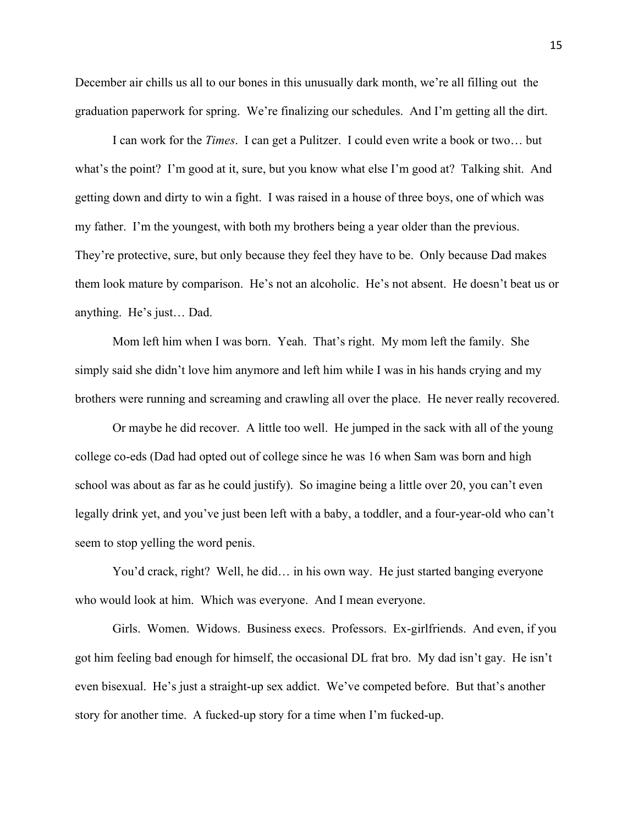December air chills us all to our bones in this unusually dark month, we're all filling out the graduation paperwork for spring. We're finalizing our schedules. And I'm getting all the dirt.

I can work for the *Times*. I can get a Pulitzer. I could even write a book or two… but what's the point? I'm good at it, sure, but you know what else I'm good at? Talking shit. And getting down and dirty to win a fight. I was raised in a house of three boys, one of which was my father. I'm the youngest, with both my brothers being a year older than the previous. They're protective, sure, but only because they feel they have to be. Only because Dad makes them look mature by comparison. He's not an alcoholic. He's not absent. He doesn't beat us or anything. He's just… Dad.

Mom left him when I was born. Yeah. That's right. My mom left the family. She simply said she didn't love him anymore and left him while I was in his hands crying and my brothers were running and screaming and crawling all over the place. He never really recovered.

Or maybe he did recover. A little too well. He jumped in the sack with all of the young college co-eds (Dad had opted out of college since he was 16 when Sam was born and high school was about as far as he could justify). So imagine being a little over 20, you can't even legally drink yet, and you've just been left with a baby, a toddler, and a four-year-old who can't seem to stop yelling the word penis.

You'd crack, right? Well, he did… in his own way. He just started banging everyone who would look at him. Which was everyone. And I mean everyone.

Girls. Women. Widows. Business execs. Professors. Ex-girlfriends. And even, if you got him feeling bad enough for himself, the occasional DL frat bro. My dad isn't gay. He isn't even bisexual. He's just a straight-up sex addict. We've competed before. But that's another story for another time. A fucked-up story for a time when I'm fucked-up.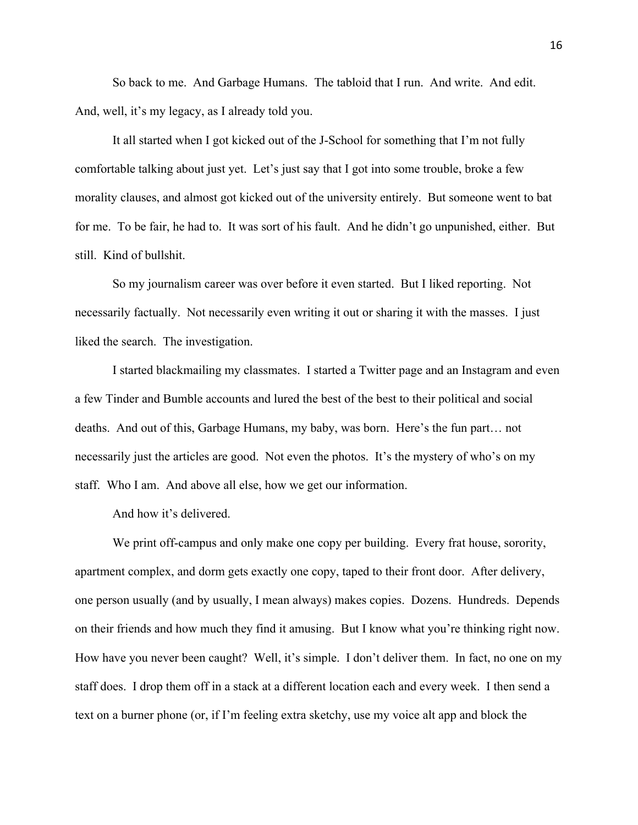So back to me. And Garbage Humans. The tabloid that I run. And write. And edit. And, well, it's my legacy, as I already told you.

It all started when I got kicked out of the J-School for something that I'm not fully comfortable talking about just yet. Let's just say that I got into some trouble, broke a few morality clauses, and almost got kicked out of the university entirely. But someone went to bat for me. To be fair, he had to. It was sort of his fault. And he didn't go unpunished, either. But still. Kind of bullshit.

So my journalism career was over before it even started. But I liked reporting. Not necessarily factually. Not necessarily even writing it out or sharing it with the masses. I just liked the search. The investigation.

I started blackmailing my classmates. I started a Twitter page and an Instagram and even a few Tinder and Bumble accounts and lured the best of the best to their political and social deaths. And out of this, Garbage Humans, my baby, was born. Here's the fun part… not necessarily just the articles are good. Not even the photos. It's the mystery of who's on my staff. Who I am. And above all else, how we get our information.

And how it's delivered.

We print off-campus and only make one copy per building. Every frat house, sorority, apartment complex, and dorm gets exactly one copy, taped to their front door. After delivery, one person usually (and by usually, I mean always) makes copies. Dozens. Hundreds. Depends on their friends and how much they find it amusing. But I know what you're thinking right now. How have you never been caught? Well, it's simple. I don't deliver them. In fact, no one on my staff does. I drop them off in a stack at a different location each and every week. I then send a text on a burner phone (or, if I'm feeling extra sketchy, use my voice alt app and block the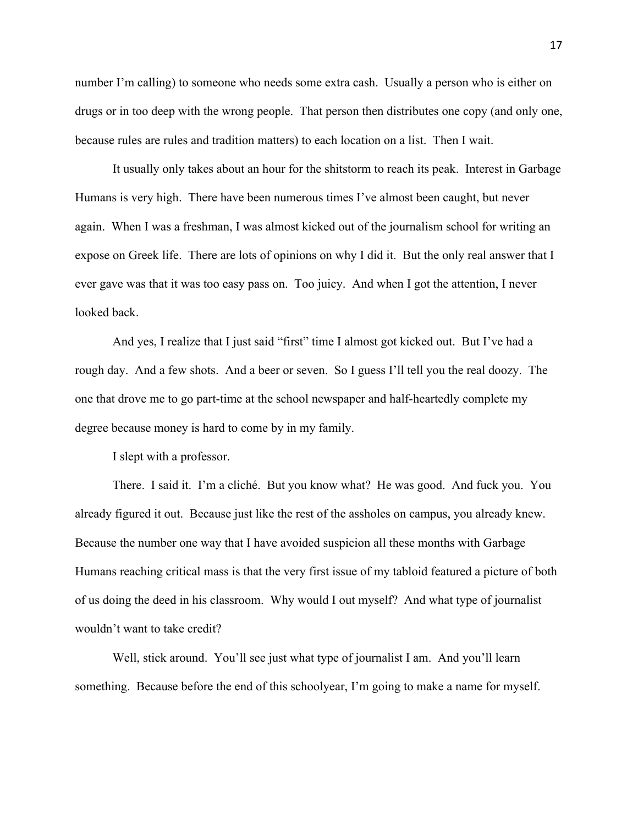number I'm calling) to someone who needs some extra cash. Usually a person who is either on drugs or in too deep with the wrong people. That person then distributes one copy (and only one, because rules are rules and tradition matters) to each location on a list. Then I wait.

It usually only takes about an hour for the shitstorm to reach its peak. Interest in Garbage Humans is very high. There have been numerous times I've almost been caught, but never again. When I was a freshman, I was almost kicked out of the journalism school for writing an expose on Greek life. There are lots of opinions on why I did it. But the only real answer that I ever gave was that it was too easy pass on. Too juicy. And when I got the attention, I never looked back.

And yes, I realize that I just said "first" time I almost got kicked out. But I've had a rough day. And a few shots. And a beer or seven. So I guess I'll tell you the real doozy. The one that drove me to go part-time at the school newspaper and half-heartedly complete my degree because money is hard to come by in my family.

I slept with a professor.

There. I said it. I'm a cliché. But you know what? He was good. And fuck you. You already figured it out. Because just like the rest of the assholes on campus, you already knew. Because the number one way that I have avoided suspicion all these months with Garbage Humans reaching critical mass is that the very first issue of my tabloid featured a picture of both of us doing the deed in his classroom. Why would I out myself? And what type of journalist wouldn't want to take credit?

Well, stick around. You'll see just what type of journalist I am. And you'll learn something. Because before the end of this schoolyear, I'm going to make a name for myself.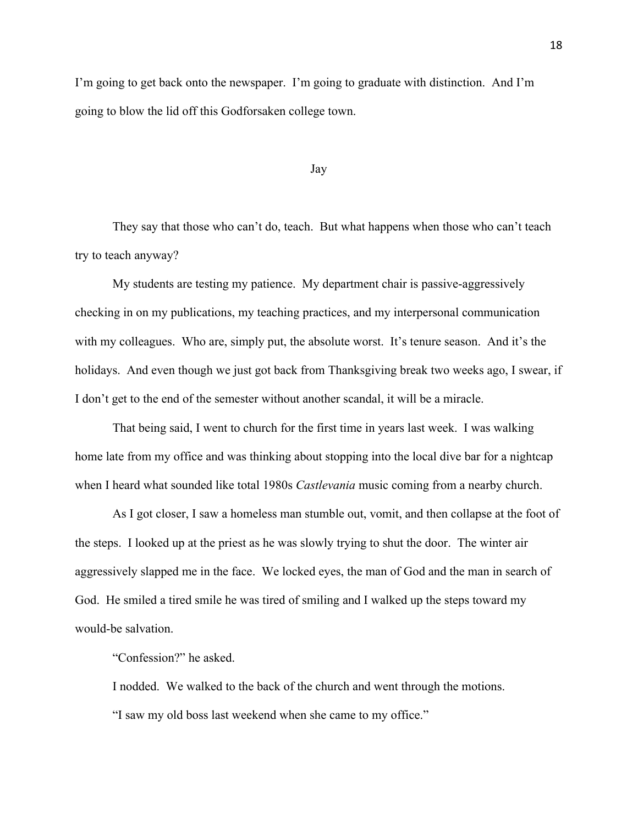I'm going to get back onto the newspaper. I'm going to graduate with distinction. And I'm going to blow the lid off this Godforsaken college town.

#### Jay

They say that those who can't do, teach. But what happens when those who can't teach try to teach anyway?

My students are testing my patience. My department chair is passive-aggressively checking in on my publications, my teaching practices, and my interpersonal communication with my colleagues. Who are, simply put, the absolute worst. It's tenure season. And it's the holidays. And even though we just got back from Thanksgiving break two weeks ago, I swear, if I don't get to the end of the semester without another scandal, it will be a miracle.

That being said, I went to church for the first time in years last week. I was walking home late from my office and was thinking about stopping into the local dive bar for a nightcap when I heard what sounded like total 1980s *Castlevania* music coming from a nearby church.

As I got closer, I saw a homeless man stumble out, vomit, and then collapse at the foot of the steps. I looked up at the priest as he was slowly trying to shut the door. The winter air aggressively slapped me in the face. We locked eyes, the man of God and the man in search of God. He smiled a tired smile he was tired of smiling and I walked up the steps toward my would-be salvation.

"Confession?" he asked.

I nodded. We walked to the back of the church and went through the motions. "I saw my old boss last weekend when she came to my office."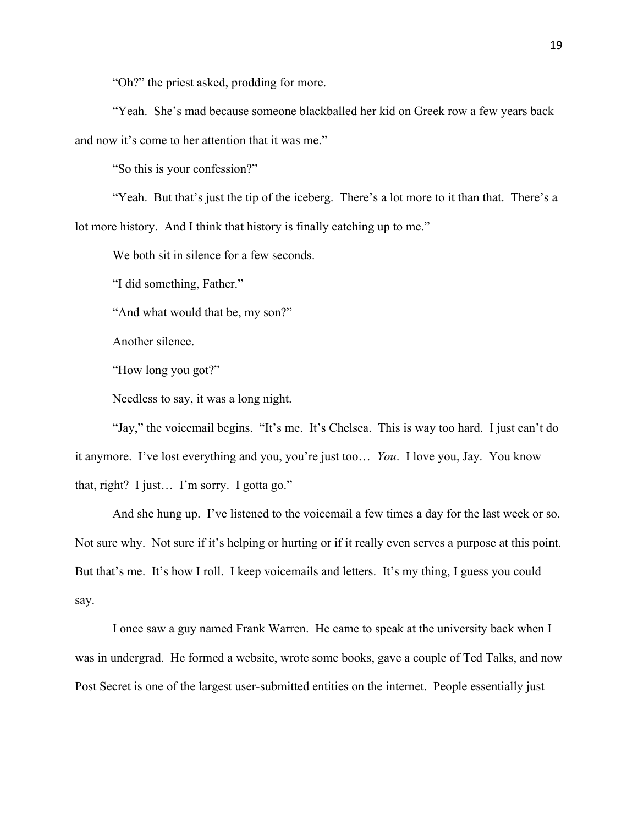"Oh?" the priest asked, prodding for more.

"Yeah. She's mad because someone blackballed her kid on Greek row a few years back and now it's come to her attention that it was me."

"So this is your confession?"

"Yeah. But that's just the tip of the iceberg. There's a lot more to it than that. There's a lot more history. And I think that history is finally catching up to me."

We both sit in silence for a few seconds.

"I did something, Father."

"And what would that be, my son?"

Another silence.

"How long you got?"

Needless to say, it was a long night.

"Jay," the voicemail begins. "It's me. It's Chelsea. This is way too hard. I just can't do it anymore. I've lost everything and you, you're just too… *You*. I love you, Jay. You know that, right? I just… I'm sorry. I gotta go."

And she hung up. I've listened to the voicemail a few times a day for the last week or so. Not sure why. Not sure if it's helping or hurting or if it really even serves a purpose at this point. But that's me. It's how I roll. I keep voicemails and letters. It's my thing, I guess you could say.

I once saw a guy named Frank Warren. He came to speak at the university back when I was in undergrad. He formed a website, wrote some books, gave a couple of Ted Talks, and now Post Secret is one of the largest user-submitted entities on the internet. People essentially just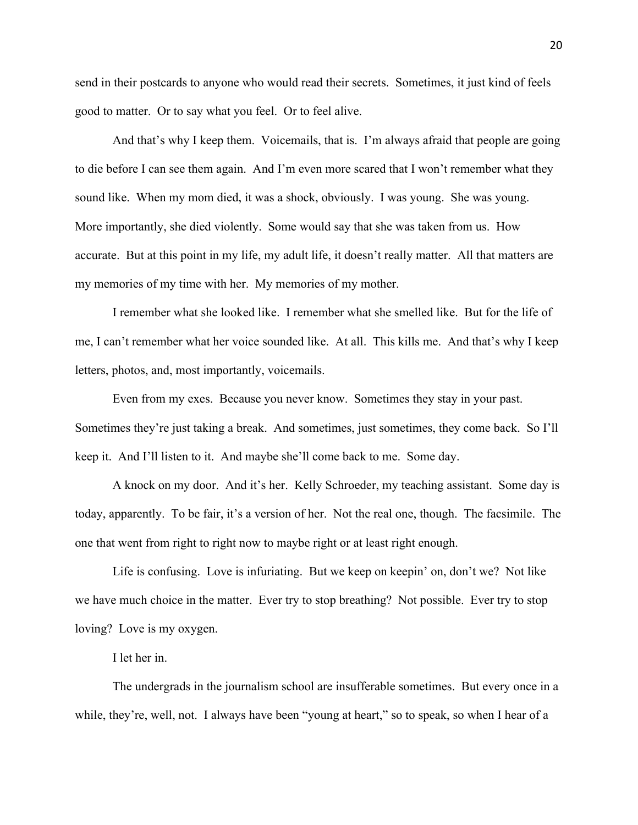send in their postcards to anyone who would read their secrets. Sometimes, it just kind of feels good to matter. Or to say what you feel. Or to feel alive.

And that's why I keep them. Voicemails, that is. I'm always afraid that people are going to die before I can see them again. And I'm even more scared that I won't remember what they sound like. When my mom died, it was a shock, obviously. I was young. She was young. More importantly, she died violently. Some would say that she was taken from us. How accurate. But at this point in my life, my adult life, it doesn't really matter. All that matters are my memories of my time with her. My memories of my mother.

I remember what she looked like. I remember what she smelled like. But for the life of me, I can't remember what her voice sounded like. At all. This kills me. And that's why I keep letters, photos, and, most importantly, voicemails.

Even from my exes. Because you never know. Sometimes they stay in your past. Sometimes they're just taking a break. And sometimes, just sometimes, they come back. So I'll keep it. And I'll listen to it. And maybe she'll come back to me. Some day.

A knock on my door. And it's her. Kelly Schroeder, my teaching assistant. Some day is today, apparently. To be fair, it's a version of her. Not the real one, though. The facsimile. The one that went from right to right now to maybe right or at least right enough.

Life is confusing. Love is infuriating. But we keep on keepin' on, don't we? Not like we have much choice in the matter. Ever try to stop breathing? Not possible. Ever try to stop loving? Love is my oxygen.

I let her in.

The undergrads in the journalism school are insufferable sometimes. But every once in a while, they're, well, not. I always have been "young at heart," so to speak, so when I hear of a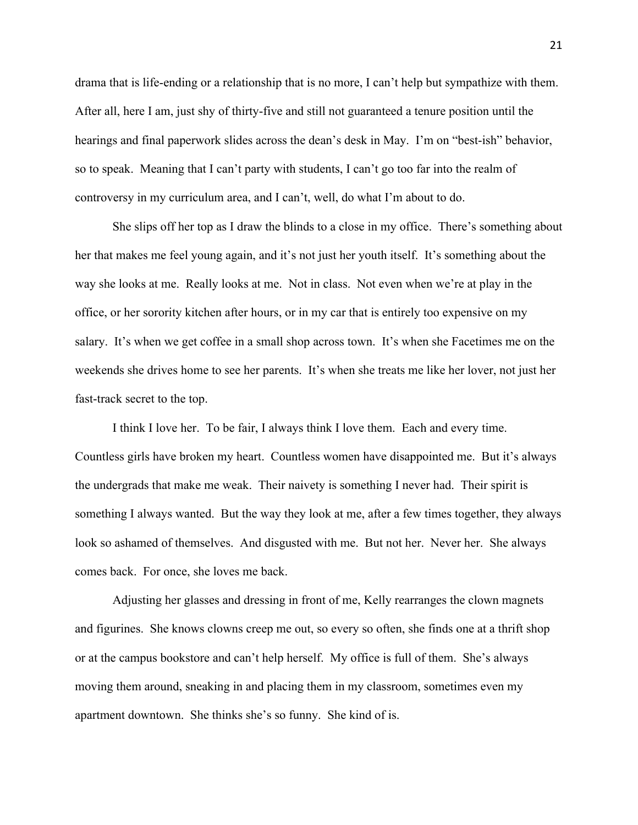drama that is life-ending or a relationship that is no more, I can't help but sympathize with them. After all, here I am, just shy of thirty-five and still not guaranteed a tenure position until the hearings and final paperwork slides across the dean's desk in May. I'm on "best-ish" behavior, so to speak. Meaning that I can't party with students, I can't go too far into the realm of controversy in my curriculum area, and I can't, well, do what I'm about to do.

She slips off her top as I draw the blinds to a close in my office. There's something about her that makes me feel young again, and it's not just her youth itself. It's something about the way she looks at me. Really looks at me. Not in class. Not even when we're at play in the office, or her sorority kitchen after hours, or in my car that is entirely too expensive on my salary. It's when we get coffee in a small shop across town. It's when she Facetimes me on the weekends she drives home to see her parents. It's when she treats me like her lover, not just her fast-track secret to the top.

I think I love her. To be fair, I always think I love them. Each and every time. Countless girls have broken my heart. Countless women have disappointed me. But it's always the undergrads that make me weak. Their naivety is something I never had. Their spirit is something I always wanted. But the way they look at me, after a few times together, they always look so ashamed of themselves. And disgusted with me. But not her. Never her. She always comes back. For once, she loves me back.

Adjusting her glasses and dressing in front of me, Kelly rearranges the clown magnets and figurines. She knows clowns creep me out, so every so often, she finds one at a thrift shop or at the campus bookstore and can't help herself. My office is full of them. She's always moving them around, sneaking in and placing them in my classroom, sometimes even my apartment downtown. She thinks she's so funny. She kind of is.